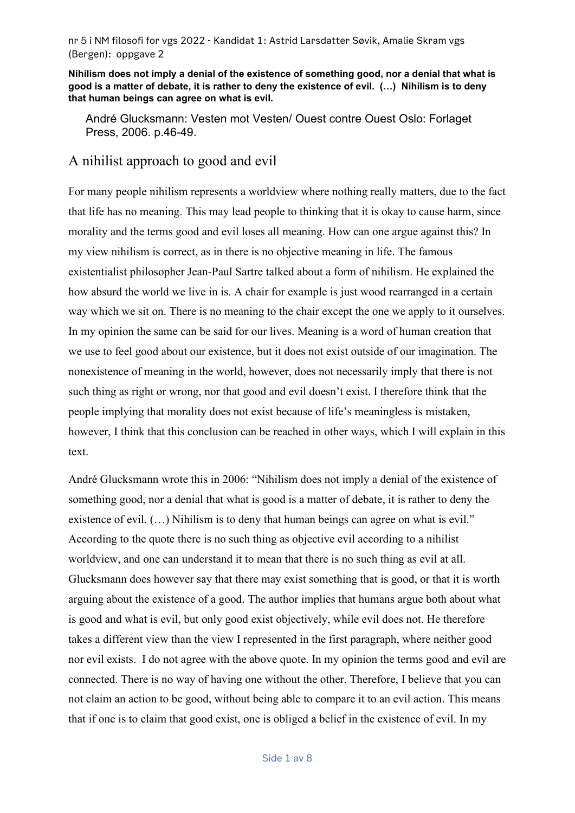**Nihilism does not imply a denial of the existence of something good, nor a denial that what is good is a matter of debate, it is rather to deny the existence of evil. (…) Nihilism is to deny that human beings can agree on what is evil.**

André Glucksmann: Vesten mot Vesten/ Ouest contre Ouest Oslo: Forlaget Press, 2006. p.46-49.

## A nihilist approach to good and evil

For many people nihilism represents a worldview where nothing really matters, due to the fact that life has no meaning. This may lead people to thinking that it is okay to cause harm, since morality and the terms good and evil loses all meaning. How can one argue against this? In my view nihilism is correct, as in there is no objective meaning in life. The famous existentialist philosopher Jean-Paul Sartre talked about a form of nihilism. He explained the how absurd the world we live in is. A chair for example is just wood rearranged in a certain way which we sit on. There is no meaning to the chair except the one we apply to it ourselves. In my opinion the same can be said for our lives. Meaning is a word of human creation that we use to feel good about our existence, but it does not exist outside of our imagination. The nonexistence of meaning in the world, however, does not necessarily imply that there is not such thing as right or wrong, nor that good and evil doesn't exist. I therefore think that the people implying that morality does not exist because of life's meaningless is mistaken, however, I think that this conclusion can be reached in other ways, which I will explain in this text.

André Glucksmann wrote this in 2006: "Nihilism does not imply a denial of the existence of something good, nor a denial that what is good is a matter of debate, it is rather to deny the existence of evil.  $(...)$  Nihilism is to deny that human beings can agree on what is evil." According to the quote there is no such thing as objective evil according to a nihilist worldview, and one can understand it to mean that there is no such thing as evil at all. Glucksmann does however say that there may exist something that is good, or that it is worth arguing about the existence of a good. The author implies that humans argue both about what is good and what is evil, but only good exist objectively, while evil does not. He therefore takes a different view than the view I represented in the first paragraph, where neither good nor evil exists. I do not agree with the above quote. In my opinion the terms good and evil are connected. There is no way of having one without the other. Therefore, I believe that you can not claim an action to be good, without being able to compare it to an evil action. This means that if one is to claim that good exist, one is obliged a belief in the existence of evil. In my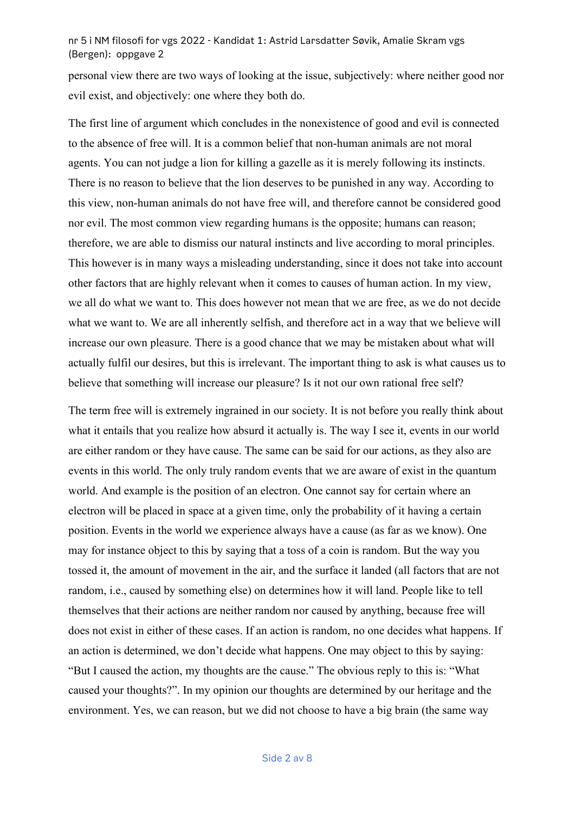personal view there are two ways of looking at the issue, subjectively: where neither good nor evil exist, and objectively: one where they both do.

The first line of argument which concludes in the nonexistence of good and evil is connected to the absence of free will. It is a common belief that non-human animals are not moral agents. You can not judge a lion for killing a gazelle as it is merely following its instincts. There is no reason to believe that the lion deserves to be punished in any way. According to this view, non-human animals do not have free will, and therefore cannot be considered good nor evil. The most common view regarding humans is the opposite; humans can reason; therefore, we are able to dismiss our natural instincts and live according to moral principles. This however is in many ways a misleading understanding, since it does not take into account other factors that are highly relevant when it comes to causes of human action. In my view, we all do what we want to. This does however not mean that we are free, as we do not decide what we want to. We are all inherently selfish, and therefore act in a way that we believe will increase our own pleasure. There is a good chance that we may be mistaken about what will actually fulfil our desires, but this is irrelevant. The important thing to ask is what causes us to believe that something will increase our pleasure? Is it not our own rational free self?

The term free will is extremely ingrained in our society. It is not before you really think about what it entails that you realize how absurd it actually is. The way I see it, events in our world are either random or they have cause. The same can be said for our actions, as they also are events in this world. The only truly random events that we are aware of exist in the quantum world. And example is the position of an electron. One cannot say for certain where an electron will be placed in space at a given time, only the probability of it having a certain position. Events in the world we experience always have a cause (as far as we know). One may for instance object to this by saying that a toss of a coin is random. But the way you tossed it, the amount of movement in the air, and the surface it landed (all factors that are not random, i.e., caused by something else) on determines how it will land. People like to tell themselves that their actions are neither random nor caused by anything, because free will does not exist in either of these cases. If an action is random, no one decides what happens. If an action is determined, we don't decide what happens. One may object to this by saying: "But I caused the action, my thoughts are the cause." The obvious reply to this is: "What caused your thoughts?". In my opinion our thoughts are determined by our heritage and the environment. Yes, we can reason, but we did not choose to have a big brain (the same way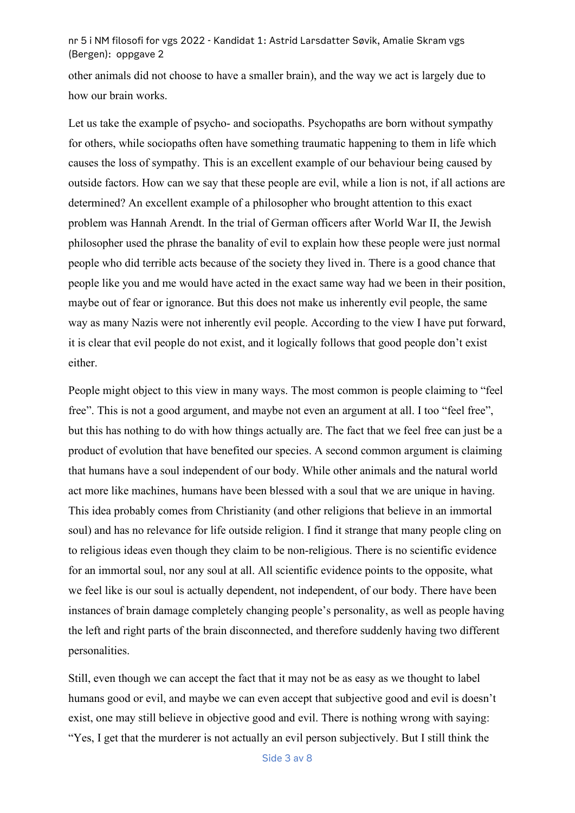other animals did not choose to have a smaller brain), and the way we act is largely due to how our brain works.

Let us take the example of psycho- and sociopaths. Psychopaths are born without sympathy for others, while sociopaths often have something traumatic happening to them in life which causes the loss of sympathy. This is an excellent example of our behaviour being caused by outside factors. How can we say that these people are evil, while a lion is not, if all actions are determined? An excellent example of a philosopher who brought attention to this exact problem was Hannah Arendt. In the trial of German officers after World War II, the Jewish philosopher used the phrase the banality of evil to explain how these people were just normal people who did terrible acts because of the society they lived in. There is a good chance that people like you and me would have acted in the exact same way had we been in their position, maybe out of fear or ignorance. But this does not make us inherently evil people, the same way as many Nazis were not inherently evil people. According to the view I have put forward, it is clear that evil people do not exist, and it logically follows that good people don't exist either.

People might object to this view in many ways. The most common is people claiming to "feel free". This is not a good argument, and maybe not even an argument at all. I too "feel free", but this has nothing to do with how things actually are. The fact that we feel free can just be a product of evolution that have benefited our species. A second common argument is claiming that humans have a soul independent of our body. While other animals and the natural world act more like machines, humans have been blessed with a soul that we are unique in having. This idea probably comes from Christianity (and other religions that believe in an immortal soul) and has no relevance for life outside religion. I find it strange that many people cling on to religious ideas even though they claim to be non-religious. There is no scientific evidence for an immortal soul, nor any soul at all. All scientific evidence points to the opposite, what we feel like is our soul is actually dependent, not independent, of our body. There have been instances of brain damage completely changing people's personality, as well as people having the left and right parts of the brain disconnected, and therefore suddenly having two different personalities.

Still, even though we can accept the fact that it may not be as easy as we thought to label humans good or evil, and maybe we can even accept that subjective good and evil is doesn't exist, one may still believe in objective good and evil. There is nothing wrong with saying: "Yes, I get that the murderer is not actually an evil person subjectively. But I still think the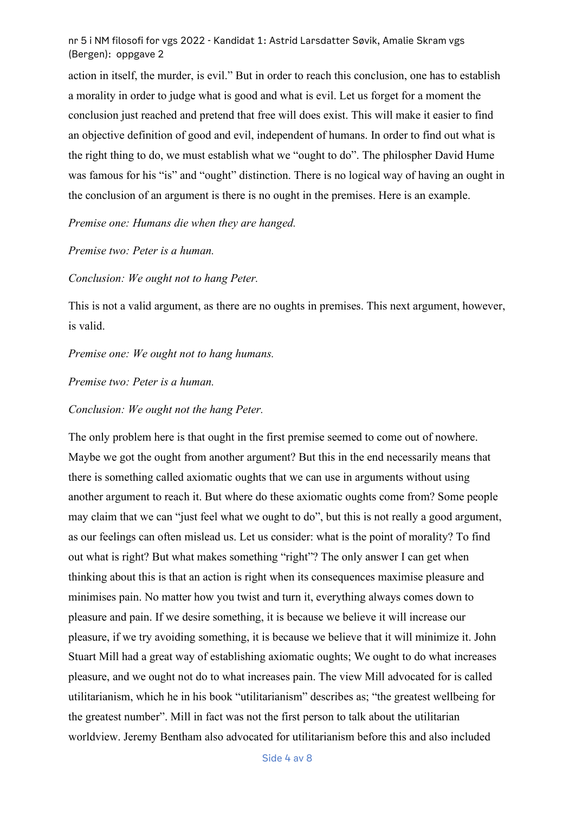action in itself, the murder, is evil." But in order to reach this conclusion, one has to establish a morality in order to judge what is good and what is evil. Let us forget for a moment the conclusion just reached and pretend that free will does exist. This will make it easier to find an objective definition of good and evil, independent of humans. In order to find out what is the right thing to do, we must establish what we "ought to do". The philospher David Hume was famous for his "is" and "ought" distinction. There is no logical way of having an ought in the conclusion of an argument is there is no ought in the premises. Here is an example.

*Premise one: Humans die when they are hanged.*

*Premise two: Peter is a human.*

*Conclusion: We ought not to hang Peter.* 

This is not a valid argument, as there are no oughts in premises. This next argument, however, is valid.

*Premise one: We ought not to hang humans.* 

*Premise two: Peter is a human.* 

*Conclusion: We ought not the hang Peter.* 

The only problem here is that ought in the first premise seemed to come out of nowhere. Maybe we got the ought from another argument? But this in the end necessarily means that there is something called axiomatic oughts that we can use in arguments without using another argument to reach it. But where do these axiomatic oughts come from? Some people may claim that we can "just feel what we ought to do", but this is not really a good argument, as our feelings can often mislead us. Let us consider: what is the point of morality? To find out what is right? But what makes something "right"? The only answer I can get when thinking about this is that an action is right when its consequences maximise pleasure and minimises pain. No matter how you twist and turn it, everything always comes down to pleasure and pain. If we desire something, it is because we believe it will increase our pleasure, if we try avoiding something, it is because we believe that it will minimize it. John Stuart Mill had a great way of establishing axiomatic oughts; We ought to do what increases pleasure, and we ought not do to what increases pain. The view Mill advocated for is called utilitarianism, which he in his book "utilitarianism" describes as; "the greatest wellbeing for the greatest number". Mill in fact was not the first person to talk about the utilitarian worldview. Jeremy Bentham also advocated for utilitarianism before this and also included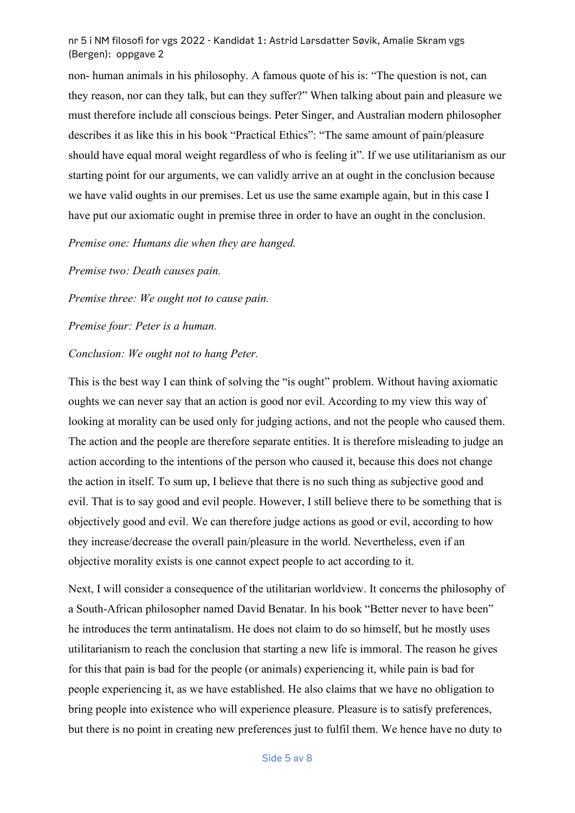non- human animals in his philosophy. A famous quote of his is: "The question is not, can they reason, nor can they talk, but can they suffer?" When talking about pain and pleasure we must therefore include all conscious beings. Peter Singer, and Australian modern philosopher describes it as like this in his book "Practical Ethics": "The same amount of pain/pleasure should have equal moral weight regardless of who is feeling it". If we use utilitarianism as our starting point for our arguments, we can validly arrive an at ought in the conclusion because we have valid oughts in our premises. Let us use the same example again, but in this case I have put our axiomatic ought in premise three in order to have an ought in the conclusion.

*Premise one: Humans die when they are hanged.*

*Premise two: Death causes pain.*

*Premise three: We ought not to cause pain.*

*Premise four: Peter is a human.*

## *Conclusion: We ought not to hang Peter.*

This is the best way I can think of solving the "is ought" problem. Without having axiomatic oughts we can never say that an action is good nor evil. According to my view this way of looking at morality can be used only for judging actions, and not the people who caused them. The action and the people are therefore separate entities. It is therefore misleading to judge an action according to the intentions of the person who caused it, because this does not change the action in itself. To sum up, I believe that there is no such thing as subjective good and evil. That is to say good and evil people. However, I still believe there to be something that is objectively good and evil. We can therefore judge actions as good or evil, according to how they increase/decrease the overall pain/pleasure in the world. Nevertheless, even if an objective morality exists is one cannot expect people to act according to it.

Next, I will consider a consequence of the utilitarian worldview. It concerns the philosophy of a South-African philosopher named David Benatar. In his book "Better never to have been" he introduces the term antinatalism. He does not claim to do so himself, but he mostly uses utilitarianism to reach the conclusion that starting a new life is immoral. The reason he gives for this that pain is bad for the people (or animals) experiencing it, while pain is bad for people experiencing it, as we have established. He also claims that we have no obligation to bring people into existence who will experience pleasure. Pleasure is to satisfy preferences, but there is no point in creating new preferences just to fulfil them. We hence have no duty to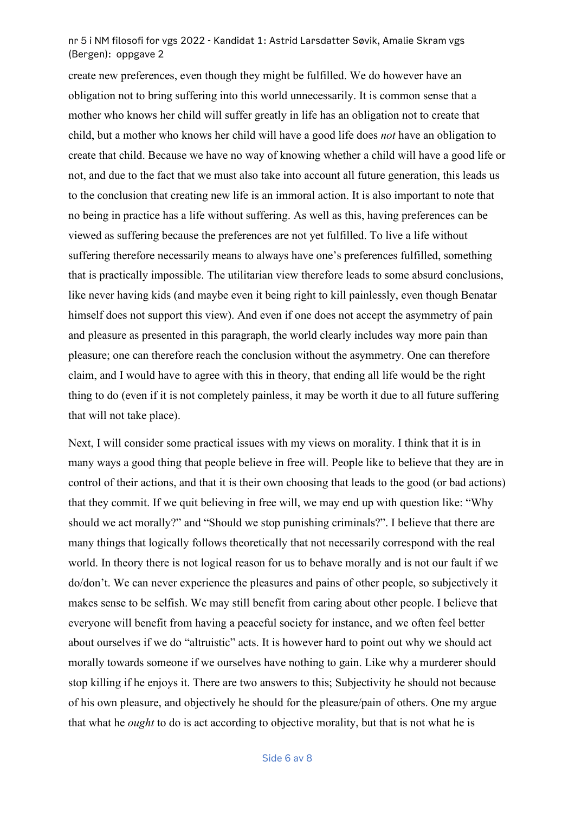create new preferences, even though they might be fulfilled. We do however have an obligation not to bring suffering into this world unnecessarily. It is common sense that a mother who knows her child will suffer greatly in life has an obligation not to create that child, but a mother who knows her child will have a good life does *not* have an obligation to create that child. Because we have no way of knowing whether a child will have a good life or not, and due to the fact that we must also take into account all future generation, this leads us to the conclusion that creating new life is an immoral action. It is also important to note that no being in practice has a life without suffering. As well as this, having preferences can be viewed as suffering because the preferences are not yet fulfilled. To live a life without suffering therefore necessarily means to always have one's preferences fulfilled, something that is practically impossible. The utilitarian view therefore leads to some absurd conclusions, like never having kids (and maybe even it being right to kill painlessly, even though Benatar himself does not support this view). And even if one does not accept the asymmetry of pain and pleasure as presented in this paragraph, the world clearly includes way more pain than pleasure; one can therefore reach the conclusion without the asymmetry. One can therefore claim, and I would have to agree with this in theory, that ending all life would be the right thing to do (even if it is not completely painless, it may be worth it due to all future suffering that will not take place).

Next, I will consider some practical issues with my views on morality. I think that it is in many ways a good thing that people believe in free will. People like to believe that they are in control of their actions, and that it is their own choosing that leads to the good (or bad actions) that they commit. If we quit believing in free will, we may end up with question like: "Why should we act morally?" and "Should we stop punishing criminals?". I believe that there are many things that logically follows theoretically that not necessarily correspond with the real world. In theory there is not logical reason for us to behave morally and is not our fault if we do/don't. We can never experience the pleasures and pains of other people, so subjectively it makes sense to be selfish. We may still benefit from caring about other people. I believe that everyone will benefit from having a peaceful society for instance, and we often feel better about ourselves if we do "altruistic" acts. It is however hard to point out why we should act morally towards someone if we ourselves have nothing to gain. Like why a murderer should stop killing if he enjoys it. There are two answers to this; Subjectivity he should not because of his own pleasure, and objectively he should for the pleasure/pain of others. One my argue that what he *ought* to do is act according to objective morality, but that is not what he is